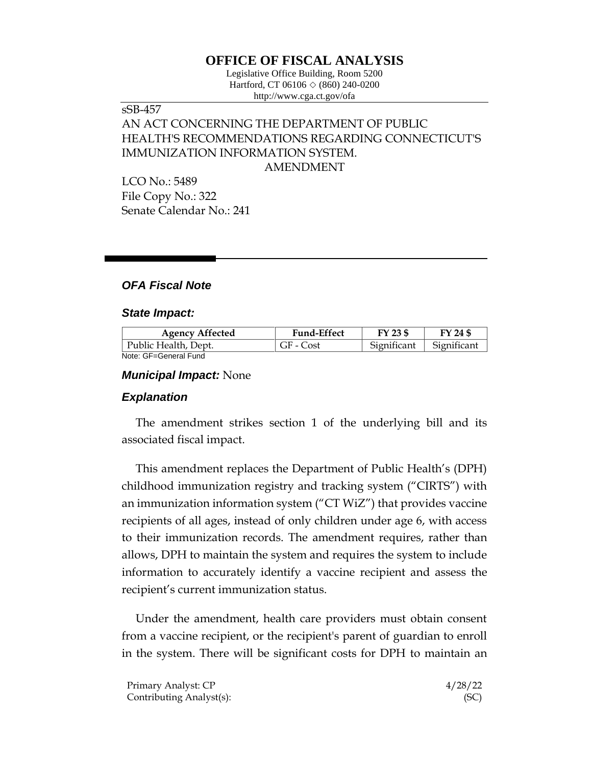# **OFFICE OF FISCAL ANALYSIS**

Legislative Office Building, Room 5200 Hartford, CT 06106  $\Diamond$  (860) 240-0200 http://www.cga.ct.gov/ofa

# sSB-457 AN ACT CONCERNING THE DEPARTMENT OF PUBLIC HEALTH'S RECOMMENDATIONS REGARDING CONNECTICUT'S IMMUNIZATION INFORMATION SYSTEM. AMENDMENT

LCO No.: 5489 File Copy No.: 322 Senate Calendar No.: 241

## *OFA Fiscal Note*

#### *State Impact:*

| <b>Agency Affected</b> | <b>Fund-Effect</b> | FY 23 \$    | FY 24 \$    |
|------------------------|--------------------|-------------|-------------|
| Public Health, Dept.   | GF - Cost          | Significant | Significant |
| Note: GF=General Fund  |                    |             |             |

*Municipal Impact:* None

# *Explanation*

The amendment strikes section 1 of the underlying bill and its associated fiscal impact.

This amendment replaces the Department of Public Health's (DPH) childhood immunization registry and tracking system ("CIRTS") with an immunization information system ("CT WiZ") that provides vaccine recipients of all ages, instead of only children under age 6, with access to their immunization records. The amendment requires, rather than allows, DPH to maintain the system and requires the system to include information to accurately identify a vaccine recipient and assess the recipient's current immunization status.

Under the amendment, health care providers must obtain consent from a vaccine recipient, or the recipient's parent of guardian to enroll in the system. There will be significant costs for DPH to maintain an